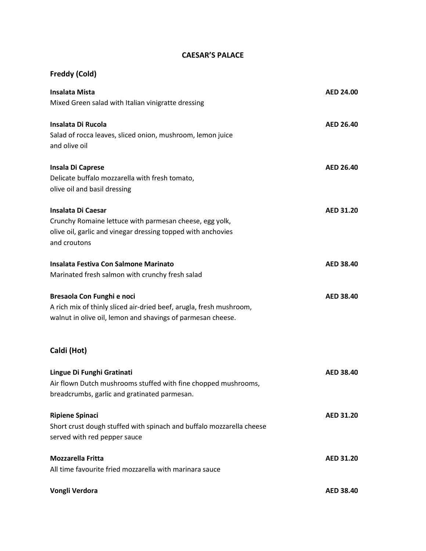## **CAESAR'S PALACE**

## **Freddy (Cold)**

| <b>Insalata Mista</b>                                                | <b>AED 24.00</b> |
|----------------------------------------------------------------------|------------------|
| Mixed Green salad with Italian vinigratte dressing                   |                  |
| <b>Insalata Di Rucola</b>                                            | <b>AED 26.40</b> |
| Salad of rocca leaves, sliced onion, mushroom, lemon juice           |                  |
| and olive oil                                                        |                  |
| Insala Di Caprese                                                    | <b>AED 26.40</b> |
| Delicate buffalo mozzarella with fresh tomato,                       |                  |
| olive oil and basil dressing                                         |                  |
| Insalata Di Caesar                                                   | <b>AED 31.20</b> |
| Crunchy Romaine lettuce with parmesan cheese, egg yolk,              |                  |
| olive oil, garlic and vinegar dressing topped with anchovies         |                  |
| and croutons                                                         |                  |
| Insalata Festiva Con Salmone Marinato                                | <b>AED 38.40</b> |
| Marinated fresh salmon with crunchy fresh salad                      |                  |
| Bresaola Con Funghi e noci                                           | <b>AED 38.40</b> |
| A rich mix of thinly sliced air-dried beef, arugla, fresh mushroom,  |                  |
| walnut in olive oil, lemon and shavings of parmesan cheese.          |                  |
| Caldi (Hot)                                                          |                  |
| Lingue Di Funghi Gratinati                                           | <b>AED 38.40</b> |
| Air flown Dutch mushrooms stuffed with fine chopped mushrooms,       |                  |
| breadcrumbs, garlic and gratinated parmesan.                         |                  |
| <b>Ripiene Spinaci</b>                                               | <b>AED 31.20</b> |
| Short crust dough stuffed with spinach and buffalo mozzarella cheese |                  |
| served with red pepper sauce                                         |                  |
| <b>Mozzarella Fritta</b>                                             | <b>AED 31.20</b> |
| All time favourite fried mozzarella with marinara sauce              |                  |
| Vongli Verdora                                                       | <b>AED 38.40</b> |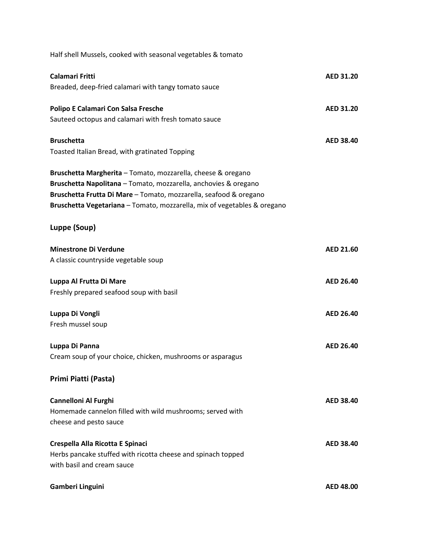| Half shell Mussels, cooked with seasonal vegetables & tomato                                                                                                                                                                                                                     |                  |
|----------------------------------------------------------------------------------------------------------------------------------------------------------------------------------------------------------------------------------------------------------------------------------|------------------|
| Calamari Fritti                                                                                                                                                                                                                                                                  | <b>AED 31.20</b> |
| Breaded, deep-fried calamari with tangy tomato sauce                                                                                                                                                                                                                             |                  |
| Polipo E Calamari Con Salsa Fresche                                                                                                                                                                                                                                              | <b>AED 31.20</b> |
| Sauteed octopus and calamari with fresh tomato sauce                                                                                                                                                                                                                             |                  |
| <b>Bruschetta</b>                                                                                                                                                                                                                                                                | <b>AED 38.40</b> |
| Toasted Italian Bread, with gratinated Topping                                                                                                                                                                                                                                   |                  |
| Bruschetta Margherita - Tomato, mozzarella, cheese & oregano<br>Bruschetta Napolitana - Tomato, mozzarella, anchovies & oregano<br>Bruschetta Frutta Di Mare - Tomato, mozzarella, seafood & oregano<br>Bruschetta Vegetariana - Tomato, mozzarella, mix of vegetables & oregano |                  |
| Luppe (Soup)                                                                                                                                                                                                                                                                     |                  |
| <b>Minestrone Di Verdune</b>                                                                                                                                                                                                                                                     | <b>AED 21.60</b> |
| A classic countryside vegetable soup                                                                                                                                                                                                                                             |                  |
| Luppa Al Frutta Di Mare<br>Freshly prepared seafood soup with basil                                                                                                                                                                                                              | <b>AED 26.40</b> |
| Luppa Di Vongli                                                                                                                                                                                                                                                                  | <b>AED 26.40</b> |
| Fresh mussel soup                                                                                                                                                                                                                                                                |                  |
| Luppa Di Panna<br>Cream soup of your choice, chicken, mushrooms or asparagus                                                                                                                                                                                                     | AED 26.40        |
| Primi Piatti (Pasta)                                                                                                                                                                                                                                                             |                  |
| <b>Cannelloni Al Furghi</b><br>Homemade cannelon filled with wild mushrooms; served with<br>cheese and pesto sauce                                                                                                                                                               | <b>AED 38.40</b> |
| Crespella Alla Ricotta E Spinaci<br>Herbs pancake stuffed with ricotta cheese and spinach topped<br>with basil and cream sauce                                                                                                                                                   | <b>AED 38.40</b> |
| Gamberi Linguini                                                                                                                                                                                                                                                                 | <b>AED 48.00</b> |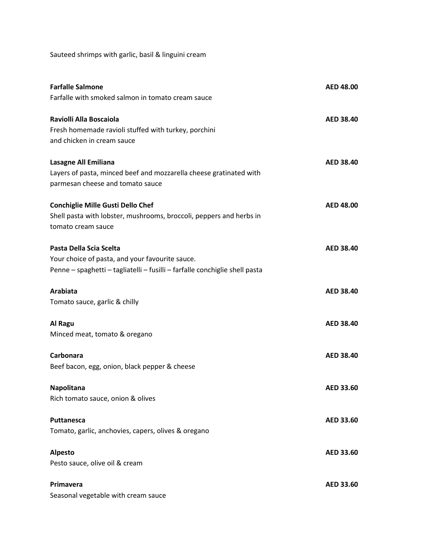Sauteed shrimps with garlic, basil & linguini cream

| <b>Farfalle Salmone</b><br>Farfalle with smoked salmon in tomato cream sauce                                                                              | <b>AED 48.00</b> |
|-----------------------------------------------------------------------------------------------------------------------------------------------------------|------------------|
| Raviolli Alla Boscaiola<br>Fresh homemade ravioli stuffed with turkey, porchini<br>and chicken in cream sauce                                             | <b>AED 38.40</b> |
| Lasagne All Emiliana<br>Layers of pasta, minced beef and mozzarella cheese gratinated with<br>parmesan cheese and tomato sauce                            | <b>AED 38.40</b> |
| <b>Conchiglie Mille Gusti Dello Chef</b><br>Shell pasta with lobster, mushrooms, broccoli, peppers and herbs in<br>tomato cream sauce                     | <b>AED 48.00</b> |
| Pasta Della Scia Scelta<br>Your choice of pasta, and your favourite sauce.<br>Penne - spaghetti - tagliatelli - fusilli - farfalle conchiglie shell pasta | <b>AED 38.40</b> |
| Arabiata<br>Tomato sauce, garlic & chilly                                                                                                                 | <b>AED 38.40</b> |
| Al Ragu<br>Minced meat, tomato & oregano                                                                                                                  | <b>AED 38.40</b> |
| Carbonara<br>Beef bacon, egg, onion, black pepper & cheese                                                                                                | <b>AED 38.40</b> |
| Napolitana<br>Rich tomato sauce, onion & olives                                                                                                           | AED 33.60        |
| Puttanesca<br>Tomato, garlic, anchovies, capers, olives & oregano                                                                                         | AED 33.60        |
| <b>Alpesto</b><br>Pesto sauce, olive oil & cream                                                                                                          | <b>AED 33.60</b> |
| Primavera<br>Seasonal vegetable with cream sauce                                                                                                          | <b>AED 33.60</b> |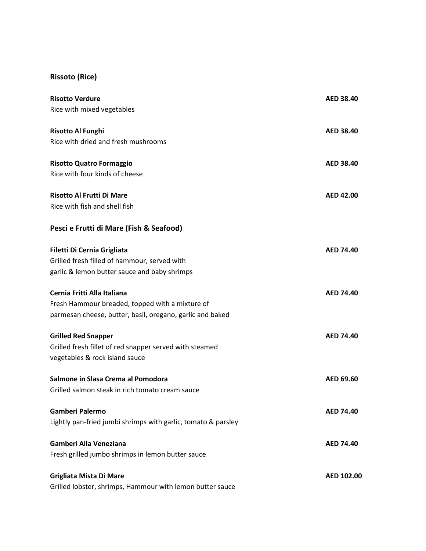## **Rissoto (Rice)**

| <b>Risotto Verdure</b>                                        | <b>AED 38.40</b> |
|---------------------------------------------------------------|------------------|
| Rice with mixed vegetables                                    |                  |
| <b>Risotto Al Funghi</b>                                      | <b>AED 38.40</b> |
| Rice with dried and fresh mushrooms                           |                  |
| <b>Risotto Quatro Formaggio</b>                               | <b>AED 38.40</b> |
| Rice with four kinds of cheese                                |                  |
| <b>Risotto Al Frutti Di Mare</b>                              | <b>AED 42.00</b> |
| Rice with fish and shell fish                                 |                  |
| Pesci e Frutti di Mare (Fish & Seafood)                       |                  |
| Filetti Di Cernia Grigliata                                   | <b>AED 74.40</b> |
| Grilled fresh filled of hammour, served with                  |                  |
| garlic & lemon butter sauce and baby shrimps                  |                  |
| Cernia Fritti Alla Italiana                                   | <b>AED 74.40</b> |
| Fresh Hammour breaded, topped with a mixture of               |                  |
| parmesan cheese, butter, basil, oregano, garlic and baked     |                  |
| <b>Grilled Red Snapper</b>                                    | <b>AED 74.40</b> |
| Grilled fresh fillet of red snapper served with steamed       |                  |
| vegetables & rock island sauce                                |                  |
| Salmone in Slasa Crema al Pomodora                            | AED 69.60        |
| Grilled salmon steak in rich tomato cream sauce               |                  |
| Gamberi Palermo                                               | <b>AED 74.40</b> |
| Lightly pan-fried jumbi shrimps with garlic, tomato & parsley |                  |
| Gamberi Alla Veneziana                                        | <b>AED 74.40</b> |
| Fresh grilled jumbo shrimps in lemon butter sauce             |                  |
| Grigliata Mista Di Mare                                       | AED 102.00       |
| Grilled lobster, shrimps, Hammour with lemon butter sauce     |                  |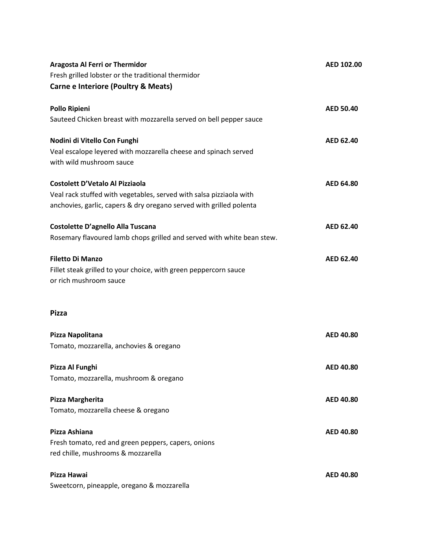| <b>Aragosta Al Ferri or Thermidor</b>                                                                                                      | AED 102.00       |
|--------------------------------------------------------------------------------------------------------------------------------------------|------------------|
| Fresh grilled lobster or the traditional thermidor                                                                                         |                  |
| <b>Carne e Interiore (Poultry &amp; Meats)</b>                                                                                             |                  |
| <b>Pollo Ripieni</b>                                                                                                                       | <b>AED 50.40</b> |
| Sauteed Chicken breast with mozzarella served on bell pepper sauce                                                                         |                  |
| Nodini di Vitello Con Funghi<br>Veal escalope leyered with mozzarella cheese and spinach served                                            | AED 62.40        |
| with wild mushroom sauce                                                                                                                   |                  |
| <b>Costolett D'Vetalo Al Pizziaola</b>                                                                                                     | <b>AED 64.80</b> |
| Veal rack stuffed with vegetables, served with salsa pizziaola with<br>anchovies, garlic, capers & dry oregano served with grilled polenta |                  |
| Costolette D'agnello Alla Tuscana                                                                                                          | AED 62.40        |
| Rosemary flavoured lamb chops grilled and served with white bean stew.                                                                     |                  |
| <b>Filetto Di Manzo</b>                                                                                                                    | AED 62.40        |
| Fillet steak grilled to your choice, with green peppercorn sauce<br>or rich mushroom sauce                                                 |                  |
| <b>Pizza</b>                                                                                                                               |                  |
| Pizza Napolitana                                                                                                                           | <b>AED 40.80</b> |
| Tomato, mozzarella, anchovies & oregano                                                                                                    |                  |
| Pizza Al Funghi                                                                                                                            | <b>AED 40.80</b> |
| Tomato, mozzarella, mushroom & oregano                                                                                                     |                  |
| Pizza Margherita                                                                                                                           | <b>AED 40.80</b> |
| Tomato, mozzarella cheese & oregano                                                                                                        |                  |
| Pizza Ashiana                                                                                                                              | <b>AED 40.80</b> |
| Fresh tomato, red and green peppers, capers, onions<br>red chille, mushrooms & mozzarella                                                  |                  |
| Pizza Hawai                                                                                                                                | <b>AED 40.80</b> |
| Sweetcorn, pineapple, oregano & mozzarella                                                                                                 |                  |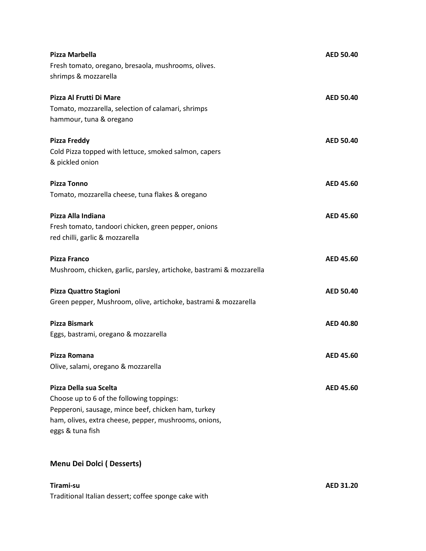| Pizza Marbella                                                                                                                                                                                          | <b>AED 50.40</b> |
|---------------------------------------------------------------------------------------------------------------------------------------------------------------------------------------------------------|------------------|
| Fresh tomato, oregano, bresaola, mushrooms, olives.<br>shrimps & mozzarella                                                                                                                             |                  |
| Pizza Al Frutti Di Mare<br>Tomato, mozzarella, selection of calamari, shrimps<br>hammour, tuna & oregano                                                                                                | <b>AED 50.40</b> |
| <b>Pizza Freddy</b><br>Cold Pizza topped with lettuce, smoked salmon, capers<br>& pickled onion                                                                                                         | <b>AED 50.40</b> |
| <b>Pizza Tonno</b><br>Tomato, mozzarella cheese, tuna flakes & oregano                                                                                                                                  | AED 45.60        |
| Pizza Alla Indiana<br>Fresh tomato, tandoori chicken, green pepper, onions<br>red chilli, garlic & mozzarella                                                                                           | AED 45.60        |
| <b>Pizza Franco</b><br>Mushroom, chicken, garlic, parsley, artichoke, bastrami & mozzarella                                                                                                             | AED 45.60        |
| Pizza Quattro Stagioni<br>Green pepper, Mushroom, olive, artichoke, bastrami & mozzarella                                                                                                               | <b>AED 50.40</b> |
| <b>Pizza Bismark</b><br>Eggs, bastrami, oregano & mozzarella                                                                                                                                            | <b>AED 40.80</b> |
| Pizza Romana<br>Olive, salami, oregano & mozzarella                                                                                                                                                     | AED 45.60        |
| Pizza Della sua Scelta<br>Choose up to 6 of the following toppings:<br>Pepperoni, sausage, mince beef, chicken ham, turkey<br>ham, olives, extra cheese, pepper, mushrooms, onions,<br>eggs & tuna fish | <b>AED 45.60</b> |

## **Menu Dei Dolci ( Desserts)**

Traditional Italian dessert; coffee sponge cake with

**Tirami-su AED 31.20**